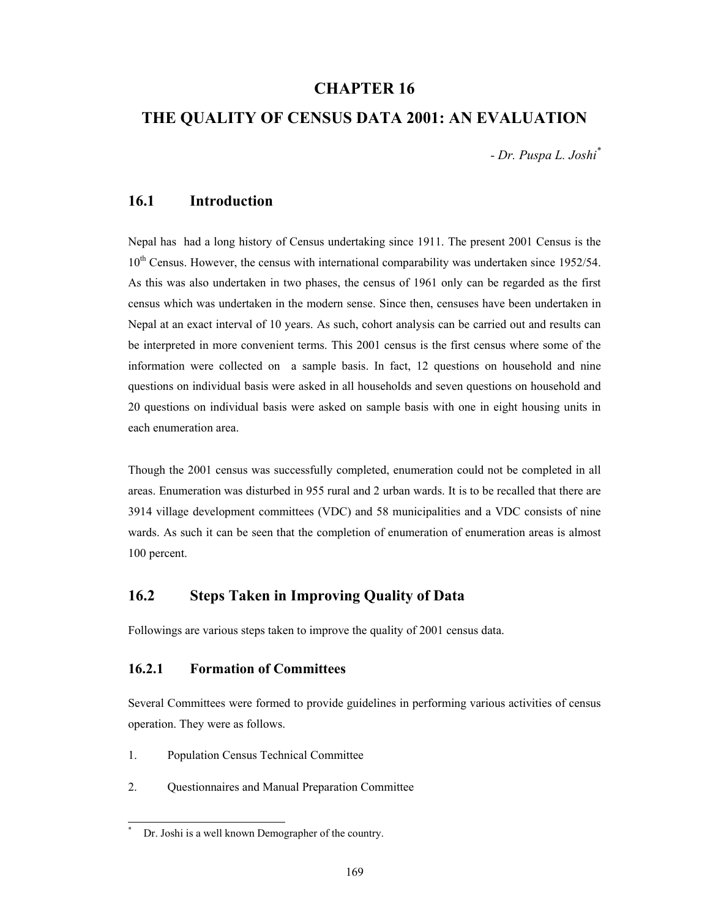# **CHAPTER 16**

## **THE QUALITY OF CENSUS DATA 2001: AN EVALUATION**

*- Dr. Puspa L. Joshi\**

### **16.1 Introduction**

Nepal has had a long history of Census undertaking since 1911. The present 2001 Census is the  $10<sup>th</sup>$  Census. However, the census with international comparability was undertaken since 1952/54. As this was also undertaken in two phases, the census of 1961 only can be regarded as the first census which was undertaken in the modern sense. Since then, censuses have been undertaken in Nepal at an exact interval of 10 years. As such, cohort analysis can be carried out and results can be interpreted in more convenient terms. This 2001 census is the first census where some of the information were collected on a sample basis. In fact, 12 questions on household and nine questions on individual basis were asked in all households and seven questions on household and 20 questions on individual basis were asked on sample basis with one in eight housing units in each enumeration area.

Though the 2001 census was successfully completed, enumeration could not be completed in all areas. Enumeration was disturbed in 955 rural and 2 urban wards. It is to be recalled that there are 3914 village development committees (VDC) and 58 municipalities and a VDC consists of nine wards. As such it can be seen that the completion of enumeration of enumeration areas is almost 100 percent.

# **16.2 Steps Taken in Improving Quality of Data**

Followings are various steps taken to improve the quality of 2001 census data.

## **16.2.1 Formation of Committees**

Several Committees were formed to provide guidelines in performing various activities of census operation. They were as follows.

1. Population Census Technical Committee

l

2. Questionnaires and Manual Preparation Committee

<sup>\*</sup> Dr. Joshi is a well known Demographer of the country.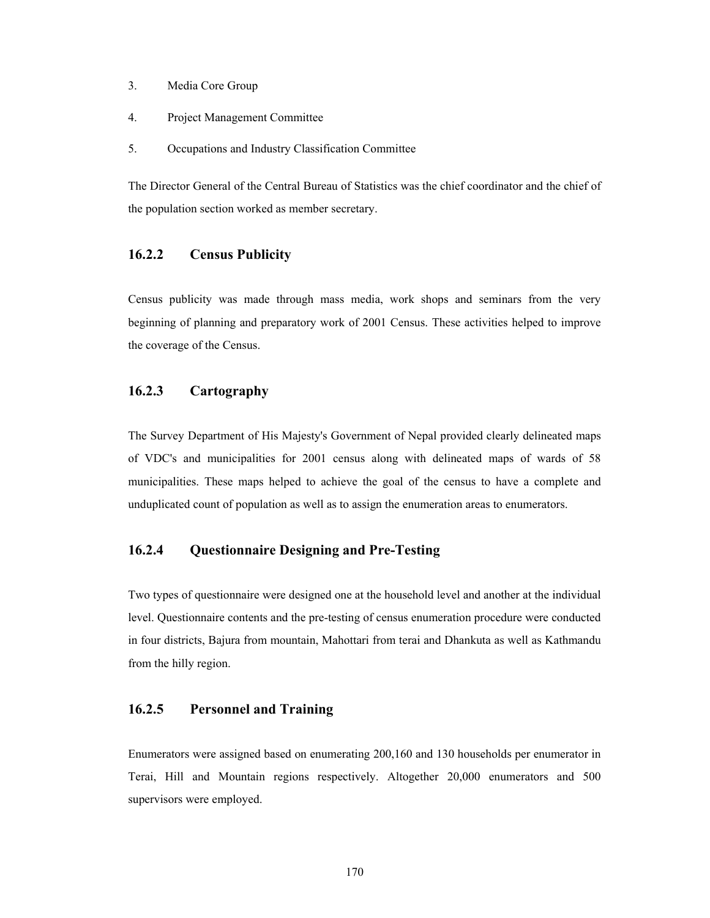- 3. Media Core Group
- 4. Project Management Committee
- 5. Occupations and Industry Classification Committee

The Director General of the Central Bureau of Statistics was the chief coordinator and the chief of the population section worked as member secretary.

### **16.2.2 Census Publicity**

Census publicity was made through mass media, work shops and seminars from the very beginning of planning and preparatory work of 2001 Census. These activities helped to improve the coverage of the Census.

## **16.2.3 Cartography**

The Survey Department of His Majesty's Government of Nepal provided clearly delineated maps of VDC's and municipalities for 2001 census along with delineated maps of wards of 58 municipalities. These maps helped to achieve the goal of the census to have a complete and unduplicated count of population as well as to assign the enumeration areas to enumerators.

## **16.2.4 Questionnaire Designing and Pre-Testing**

Two types of questionnaire were designed one at the household level and another at the individual level. Questionnaire contents and the pre-testing of census enumeration procedure were conducted in four districts, Bajura from mountain, Mahottari from terai and Dhankuta as well as Kathmandu from the hilly region.

### **16.2.5 Personnel and Training**

Enumerators were assigned based on enumerating 200,160 and 130 households per enumerator in Terai, Hill and Mountain regions respectively. Altogether 20,000 enumerators and 500 supervisors were employed.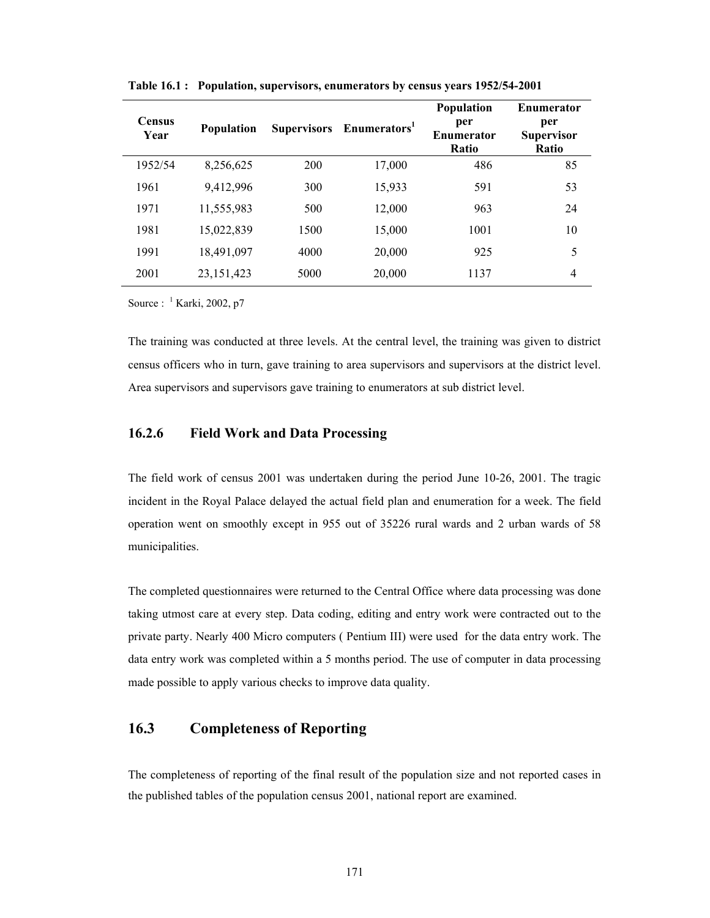| <b>Census</b><br>Year | <b>Population</b> | <b>Supervisors</b> | Enumerators <sup>1</sup> | <b>Population</b><br>per<br><b>Enumerator</b><br><b>Ratio</b> | <b>Enumerator</b><br>per<br><b>Supervisor</b><br><b>Ratio</b> |
|-----------------------|-------------------|--------------------|--------------------------|---------------------------------------------------------------|---------------------------------------------------------------|
| 1952/54               | 8,256,625         | 200                | 17,000                   | 486                                                           | 85                                                            |
| 1961                  | 9,412,996         | 300                | 15,933                   | 591                                                           | 53                                                            |
| 1971                  | 11,555,983        | 500                | 12,000                   | 963                                                           | 24                                                            |
| 1981                  | 15,022,839        | 1500               | 15,000                   | 1001                                                          | 10                                                            |
| 1991                  | 18,491,097        | 4000               | 20,000                   | 925                                                           | 5                                                             |
| 2001                  | 23, 151, 423      | 5000               | 20,000                   | 1137                                                          | 4                                                             |

**Table 16.1 : Population, supervisors, enumerators by census years 1952/54-2001** 

Source :  $\frac{1}{1}$  Karki, 2002, p7

The training was conducted at three levels. At the central level, the training was given to district census officers who in turn, gave training to area supervisors and supervisors at the district level. Area supervisors and supervisors gave training to enumerators at sub district level.

### **16.2.6 Field Work and Data Processing**

The field work of census 2001 was undertaken during the period June 10-26, 2001. The tragic incident in the Royal Palace delayed the actual field plan and enumeration for a week. The field operation went on smoothly except in 955 out of 35226 rural wards and 2 urban wards of 58 municipalities.

The completed questionnaires were returned to the Central Office where data processing was done taking utmost care at every step. Data coding, editing and entry work were contracted out to the private party. Nearly 400 Micro computers ( Pentium III) were used for the data entry work. The data entry work was completed within a 5 months period. The use of computer in data processing made possible to apply various checks to improve data quality.

# **16.3 Completeness of Reporting**

The completeness of reporting of the final result of the population size and not reported cases in the published tables of the population census 2001, national report are examined.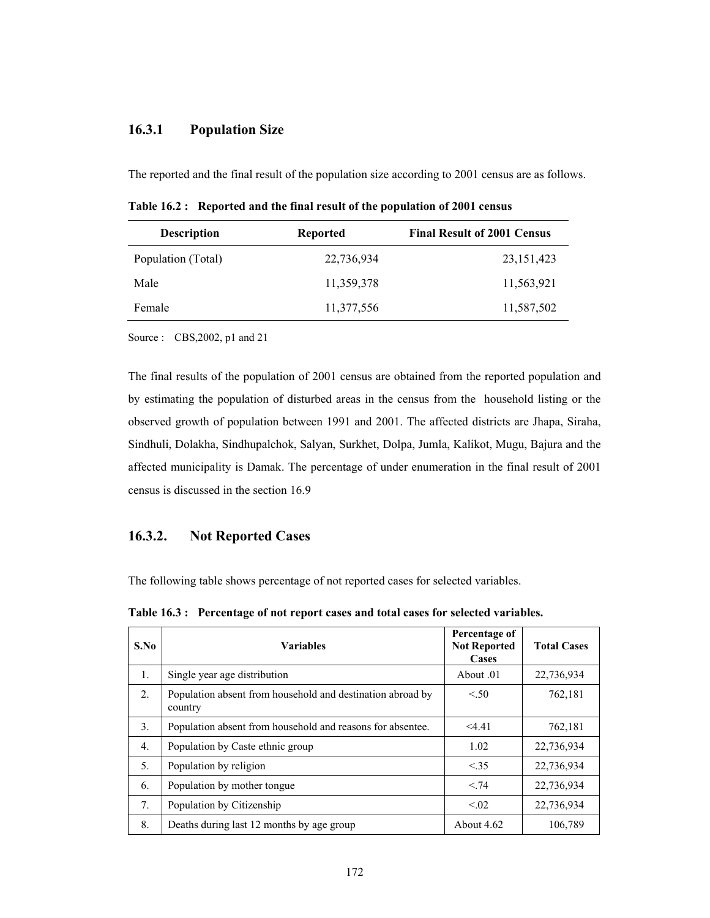## **16.3.1 Population Size**

The reported and the final result of the population size according to 2001 census are as follows.

**Table 16.2 : Reported and the final result of the population of 2001 census** 

| <b>Description</b> | <b>Reported</b> | <b>Final Result of 2001 Census</b> |  |  |
|--------------------|-----------------|------------------------------------|--|--|
| Population (Total) | 22,736,934      | 23, 151, 423                       |  |  |
| Male               | 11,359,378      | 11,563,921                         |  |  |
| Female             | 11,377,556      | 11,587,502                         |  |  |

Source : CBS,2002, p1 and 21

The final results of the population of 2001 census are obtained from the reported population and by estimating the population of disturbed areas in the census from the household listing or the observed growth of population between 1991 and 2001. The affected districts are Jhapa, Siraha, Sindhuli, Dolakha, Sindhupalchok, Salyan, Surkhet, Dolpa, Jumla, Kalikot, Mugu, Bajura and the affected municipality is Damak. The percentage of under enumeration in the final result of 2001 census is discussed in the section 16.9

### **16.3.2. Not Reported Cases**

The following table shows percentage of not reported cases for selected variables.

**Table 16.3 : Percentage of not report cases and total cases for selected variables.** 

| S.No           | <b>Variables</b>                                                      | Percentage of<br><b>Not Reported</b><br>Cases | <b>Total Cases</b> |
|----------------|-----------------------------------------------------------------------|-----------------------------------------------|--------------------|
| $\mathbf{1}$ . | Single year age distribution                                          | About 0.1                                     | 22,736,934         |
| 2.             | Population absent from household and destination abroad by<br>country | < .50                                         | 762,181            |
| 3 <sub>1</sub> | Population absent from household and reasons for absentee.            | $<$ 4.41                                      | 762,181            |
| 4.             | Population by Caste ethnic group                                      | 1.02                                          | 22,736,934         |
| 5.             | Population by religion                                                | < .35                                         | 22,736,934         |
| 6.             | Population by mother tongue                                           | < 74                                          | 22,736,934         |
| 7.             | Population by Citizenship                                             | < 0.02                                        | 22,736,934         |
| 8.             | Deaths during last 12 months by age group                             | About $4.62$                                  | 106,789            |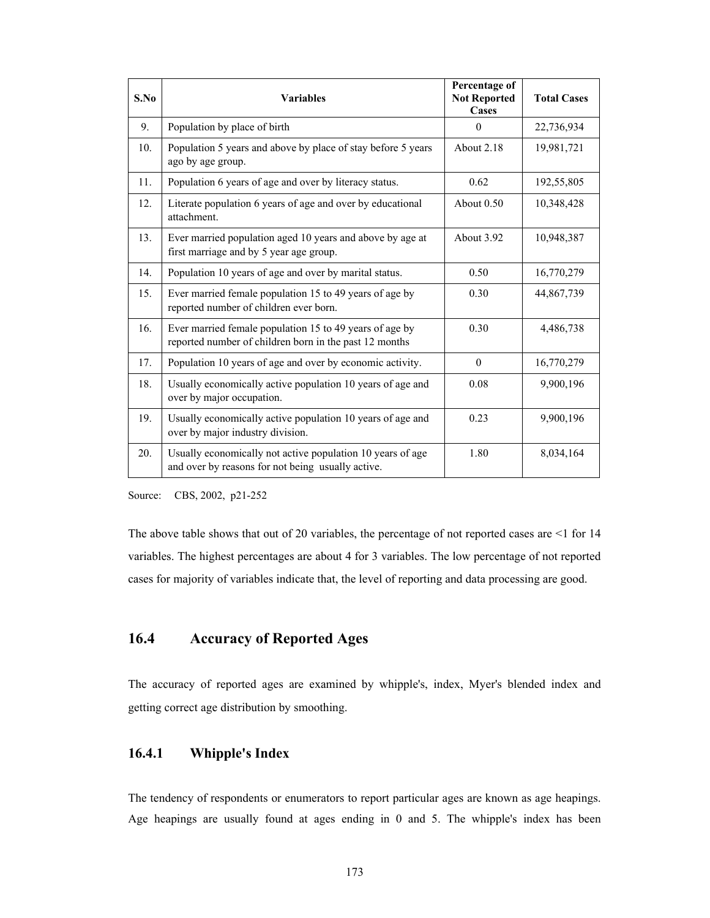| S.No | <b>Variables</b>                                                                                                  | Percentage of<br><b>Not Reported</b><br>Cases | <b>Total Cases</b> |
|------|-------------------------------------------------------------------------------------------------------------------|-----------------------------------------------|--------------------|
| 9.   | Population by place of birth                                                                                      | $\Omega$                                      | 22,736,934         |
| 10.  | Population 5 years and above by place of stay before 5 years<br>ago by age group.                                 | About 2.18                                    | 19,981,721         |
| 11.  | Population 6 years of age and over by literacy status.                                                            | 0.62                                          | 192,55,805         |
| 12.  | Literate population 6 years of age and over by educational<br>attachment.                                         | About 0.50                                    | 10,348,428         |
| 13.  | Ever married population aged 10 years and above by age at<br>first marriage and by 5 year age group.              | About 3.92                                    | 10,948,387         |
| 14.  | Population 10 years of age and over by marital status.                                                            | 0.50                                          | 16,770,279         |
| 15.  | Ever married female population 15 to 49 years of age by<br>reported number of children ever born.                 | 0.30                                          | 44,867,739         |
| 16.  | Ever married female population 15 to 49 years of age by<br>reported number of children born in the past 12 months | 0.30                                          | 4,486,738          |
| 17.  | Population 10 years of age and over by economic activity.                                                         | $\mathbf{0}$                                  | 16,770,279         |
| 18.  | Usually economically active population 10 years of age and<br>over by major occupation.                           | 0.08                                          | 9,900,196          |
| 19.  | Usually economically active population 10 years of age and<br>over by major industry division.                    | 0.23                                          | 9,900,196          |
| 20.  | Usually economically not active population 10 years of age<br>and over by reasons for not being usually active.   | 1.80                                          | 8,034,164          |

Source: CBS, 2002, p21-252

The above table shows that out of 20 variables, the percentage of not reported cases are <1 for 14 variables. The highest percentages are about 4 for 3 variables. The low percentage of not reported cases for majority of variables indicate that, the level of reporting and data processing are good.

# **16.4 Accuracy of Reported Ages**

The accuracy of reported ages are examined by whipple's, index, Myer's blended index and getting correct age distribution by smoothing.

# **16.4.1 Whipple's Index**

The tendency of respondents or enumerators to report particular ages are known as age heapings. Age heapings are usually found at ages ending in 0 and 5. The whipple's index has been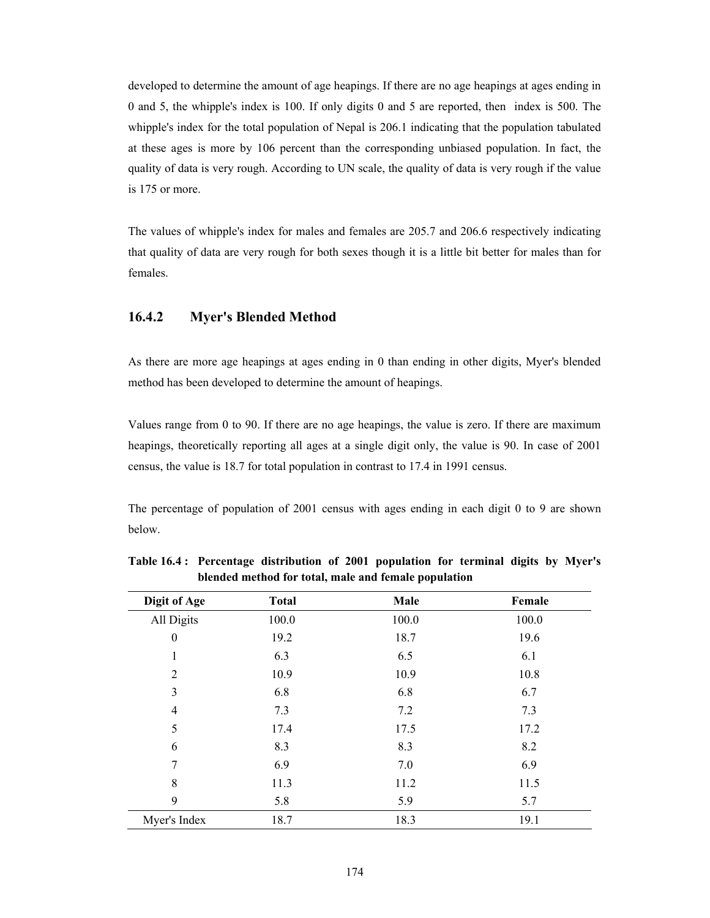developed to determine the amount of age heapings. If there are no age heapings at ages ending in 0 and 5, the whipple's index is 100. If only digits 0 and 5 are reported, then index is 500. The whipple's index for the total population of Nepal is 206.1 indicating that the population tabulated at these ages is more by 106 percent than the corresponding unbiased population. In fact, the quality of data is very rough. According to UN scale, the quality of data is very rough if the value is 175 or more.

The values of whipple's index for males and females are 205.7 and 206.6 respectively indicating that quality of data are very rough for both sexes though it is a little bit better for males than for females.

#### **16.4.2 Myer's Blended Method**

As there are more age heapings at ages ending in 0 than ending in other digits, Myer's blended method has been developed to determine the amount of heapings.

Values range from 0 to 90. If there are no age heapings, the value is zero. If there are maximum heapings, theoretically reporting all ages at a single digit only, the value is 90. In case of 2001 census, the value is 18.7 for total population in contrast to 17.4 in 1991 census.

The percentage of population of 2001 census with ages ending in each digit 0 to 9 are shown below.

| Digit of Age     | <b>Total</b> | Male  | Female |
|------------------|--------------|-------|--------|
| All Digits       | 100.0        | 100.0 | 100.0  |
| $\boldsymbol{0}$ | 19.2         | 18.7  | 19.6   |
| 1                | 6.3          | 6.5   | 6.1    |
| $\overline{2}$   | 10.9         | 10.9  | 10.8   |
| 3                | 6.8          | 6.8   | 6.7    |
| 4                | 7.3          | 7.2   | 7.3    |
| 5                | 17.4         | 17.5  | 17.2   |
| 6                | 8.3          | 8.3   | 8.2    |
| 7                | 6.9          | 7.0   | 6.9    |
| 8                | 11.3         | 11.2  | 11.5   |
| 9                | 5.8          | 5.9   | 5.7    |
| Myer's Index     | 18.7         | 18.3  | 19.1   |

**Table 16.4 : Percentage distribution of 2001 population for terminal digits by Myer's blended method for total, male and female population**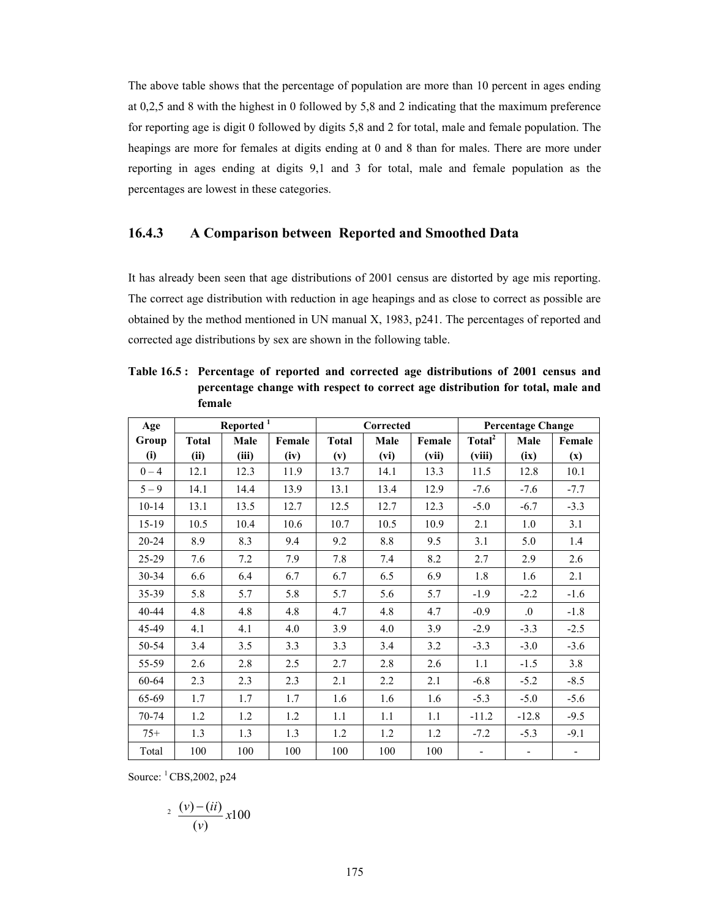The above table shows that the percentage of population are more than 10 percent in ages ending at 0,2,5 and 8 with the highest in 0 followed by 5,8 and 2 indicating that the maximum preference for reporting age is digit 0 followed by digits 5,8 and 2 for total, male and female population. The heapings are more for females at digits ending at 0 and 8 than for males. There are more under reporting in ages ending at digits 9,1 and 3 for total, male and female population as the percentages are lowest in these categories.

### **16.4.3 A Comparison between Reported and Smoothed Data**

It has already been seen that age distributions of 2001 census are distorted by age mis reporting. The correct age distribution with reduction in age heapings and as close to correct as possible are obtained by the method mentioned in UN manual X, 1983, p241. The percentages of reported and corrected age distributions by sex are shown in the following table.

| Age       |              | Reported <sup>1</sup> |        | Corrected    |      |        | <b>Percentage Change</b> |                          |                |
|-----------|--------------|-----------------------|--------|--------------|------|--------|--------------------------|--------------------------|----------------|
| Group     | <b>Total</b> | Male                  | Female | <b>Total</b> | Male | Female | Total <sup>2</sup>       | Male                     | Female         |
| (i)       | (ii)         | (iii)                 | (iv)   | (v)          | (vi) | (vii)  | (viii)                   | (ix)                     | $(\mathbf{x})$ |
| $0 - 4$   | 12.1         | 12.3                  | 11.9   | 13.7         | 14.1 | 13.3   | 11.5                     | 12.8                     | 10.1           |
| $5 - 9$   | 14.1         | 14.4                  | 13.9   | 13.1         | 13.4 | 12.9   | $-7.6$                   | $-7.6$                   | $-7.7$         |
| $10 - 14$ | 13.1         | 13.5                  | 12.7   | 12.5         | 12.7 | 12.3   | $-5.0$                   | $-6.7$                   | $-3.3$         |
| $15-19$   | 10.5         | 10.4                  | 10.6   | 10.7         | 10.5 | 10.9   | 2.1                      | 1.0                      | 3.1            |
| 20-24     | 8.9          | 8.3                   | 9.4    | 9.2          | 8.8  | 9.5    | 3.1                      | 5.0                      | 1.4            |
| $25 - 29$ | 7.6          | 7.2                   | 7.9    | 7.8          | 7.4  | 8.2    | 2.7                      | 2.9                      | 2.6            |
| $30 - 34$ | 6.6          | 6.4                   | 6.7    | 6.7          | 6.5  | 6.9    | 1.8                      | 1.6                      | 2.1            |
| 35-39     | 5.8          | 5.7                   | 5.8    | 5.7          | 5.6  | 5.7    | $-1.9$                   | $-2.2$                   | $-1.6$         |
| 40-44     | 4.8          | 4.8                   | 4.8    | 4.7          | 4.8  | 4.7    | $-0.9$                   | $\Omega$ .               | $-1.8$         |
| 45-49     | 4.1          | 4.1                   | 4.0    | 3.9          | 4.0  | 3.9    | $-2.9$                   | $-3.3$                   | $-2.5$         |
| 50-54     | 3.4          | 3.5                   | 3.3    | 3.3          | 3.4  | 3.2    | $-3.3$                   | $-3.0$                   | $-3.6$         |
| 55-59     | 2.6          | 2.8                   | 2.5    | 2.7          | 2.8  | 2.6    | 1.1                      | $-1.5$                   | 3.8            |
| 60-64     | 2.3          | 2.3                   | 2.3    | 2.1          | 2.2  | 2.1    | $-6.8$                   | $-5.2$                   | $-8.5$         |
| 65-69     | 1.7          | 1.7                   | 1.7    | 1.6          | 1.6  | 1.6    | $-5.3$                   | $-5.0$                   | $-5.6$         |
| $70-74$   | 1.2          | 1.2                   | 1.2    | 1.1          | 1.1  | 1.1    | $-11.2$                  | $-12.8$                  | $-9.5$         |
| $75+$     | 1.3          | 1.3                   | 1.3    | 1.2          | 1.2  | 1.2    | $-7.2$                   | $-5.3$                   | $-9.1$         |
| Total     | 100          | 100                   | 100    | 100          | 100  | 100    | $\overline{\phantom{a}}$ | $\overline{\phantom{a}}$ |                |

**Table 16.5 : Percentage of reported and corrected age distributions of 2001 census and percentage change with respect to correct age distribution for total, male and female** 

Source: 1 CBS,2002, p24

$$
\sqrt[2]{\frac{(v) - (ii)}{(v)}} x 100
$$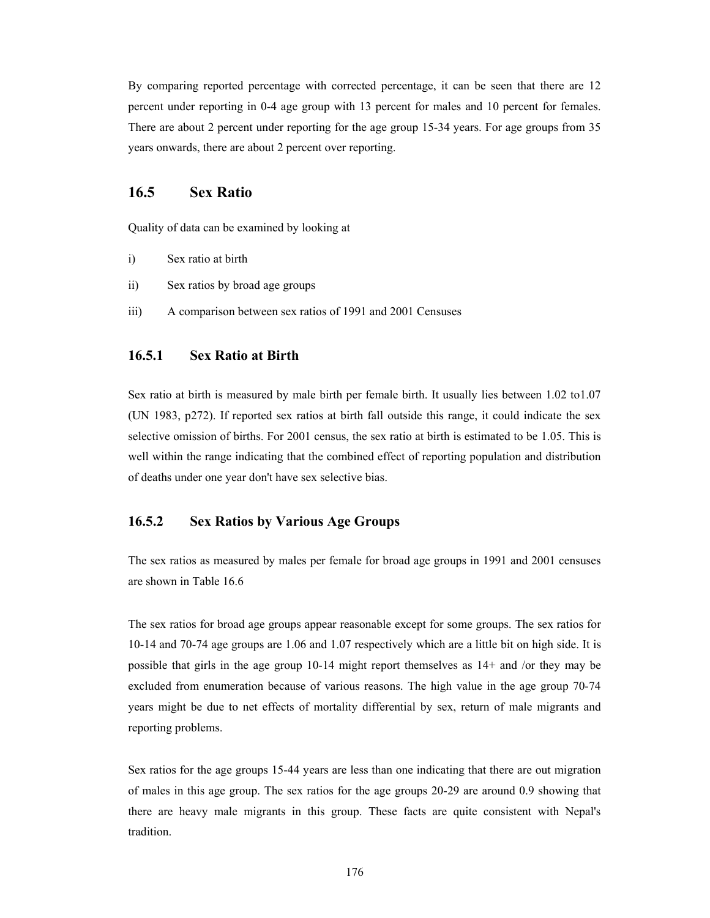By comparing reported percentage with corrected percentage, it can be seen that there are 12 percent under reporting in 0-4 age group with 13 percent for males and 10 percent for females. There are about 2 percent under reporting for the age group 15-34 years. For age groups from 35 years onwards, there are about 2 percent over reporting.

## **16.5 Sex Ratio**

Quality of data can be examined by looking at

- i) Sex ratio at birth
- ii) Sex ratios by broad age groups
- iii) A comparison between sex ratios of 1991 and 2001 Censuses

#### **16.5.1 Sex Ratio at Birth**

Sex ratio at birth is measured by male birth per female birth. It usually lies between 1.02 to1.07 (UN 1983, p272). If reported sex ratios at birth fall outside this range, it could indicate the sex selective omission of births. For 2001 census, the sex ratio at birth is estimated to be 1.05. This is well within the range indicating that the combined effect of reporting population and distribution of deaths under one year don't have sex selective bias.

### **16.5.2 Sex Ratios by Various Age Groups**

The sex ratios as measured by males per female for broad age groups in 1991 and 2001 censuses are shown in Table 16.6

The sex ratios for broad age groups appear reasonable except for some groups. The sex ratios for 10-14 and 70-74 age groups are 1.06 and 1.07 respectively which are a little bit on high side. It is possible that girls in the age group 10-14 might report themselves as 14+ and /or they may be excluded from enumeration because of various reasons. The high value in the age group 70-74 years might be due to net effects of mortality differential by sex, return of male migrants and reporting problems.

Sex ratios for the age groups 15-44 years are less than one indicating that there are out migration of males in this age group. The sex ratios for the age groups 20-29 are around 0.9 showing that there are heavy male migrants in this group. These facts are quite consistent with Nepal's tradition.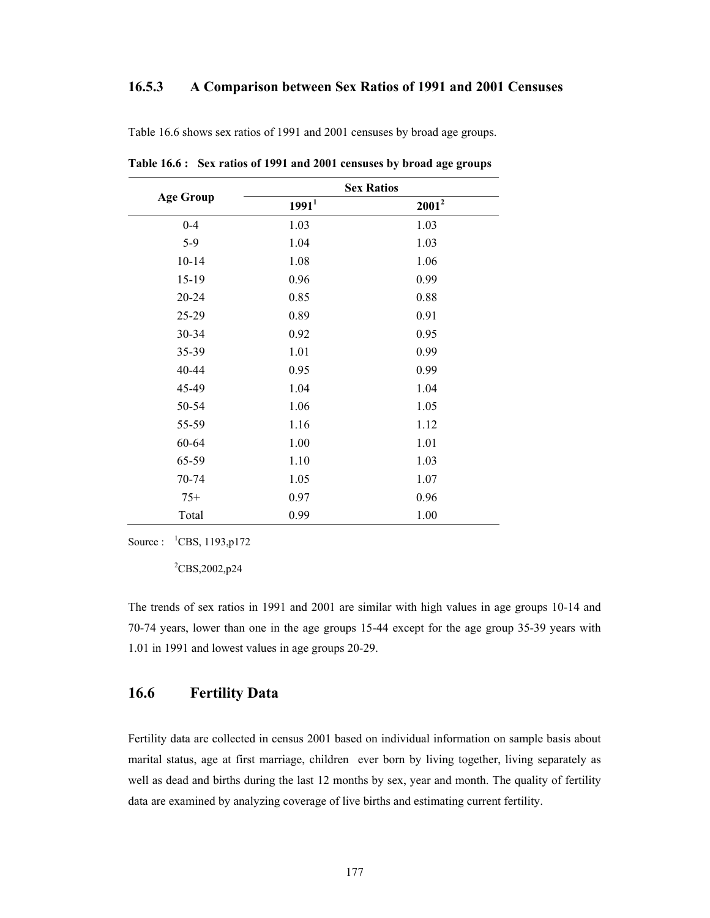### **16.5.3 A Comparison between Sex Ratios of 1991 and 2001 Censuses**

|                  |                   | <b>Sex Ratios</b> |
|------------------|-------------------|-------------------|
| <b>Age Group</b> | 1991 <sup>1</sup> | $2001^2$          |
| $0 - 4$          | 1.03              | 1.03              |
| $5-9$            | 1.04              | 1.03              |
| $10 - 14$        | 1.08              | 1.06              |
| $15-19$          | 0.96              | 0.99              |
| 20-24            | 0.85              | 0.88              |
| 25-29            | 0.89              | 0.91              |
| 30-34            | 0.92              | 0.95              |
| 35-39            | 1.01              | 0.99              |
| 40-44            | 0.95              | 0.99              |
| 45-49            | 1.04              | 1.04              |
| 50-54            | 1.06              | 1.05              |
| 55-59            | 1.16              | 1.12              |
| 60-64            | 1.00              | 1.01              |
| 65-59            | 1.10              | 1.03              |
| 70-74            | 1.05              | 1.07              |
| $75+$            | 0.97              | 0.96              |
| Total            | 0.99              | 1.00              |

Table 16.6 shows sex ratios of 1991 and 2001 censuses by broad age groups.

**Table 16.6 : Sex ratios of 1991 and 2001 censuses by broad age groups** 

Source :  ${}^{1}$ CBS, 1193, p172

 ${}^{2}$ CBS,2002,p24

The trends of sex ratios in 1991 and 2001 are similar with high values in age groups 10-14 and 70-74 years, lower than one in the age groups 15-44 except for the age group 35-39 years with 1.01 in 1991 and lowest values in age groups 20-29.

## **16.6 Fertility Data**

Fertility data are collected in census 2001 based on individual information on sample basis about marital status, age at first marriage, children ever born by living together, living separately as well as dead and births during the last 12 months by sex, year and month. The quality of fertility data are examined by analyzing coverage of live births and estimating current fertility.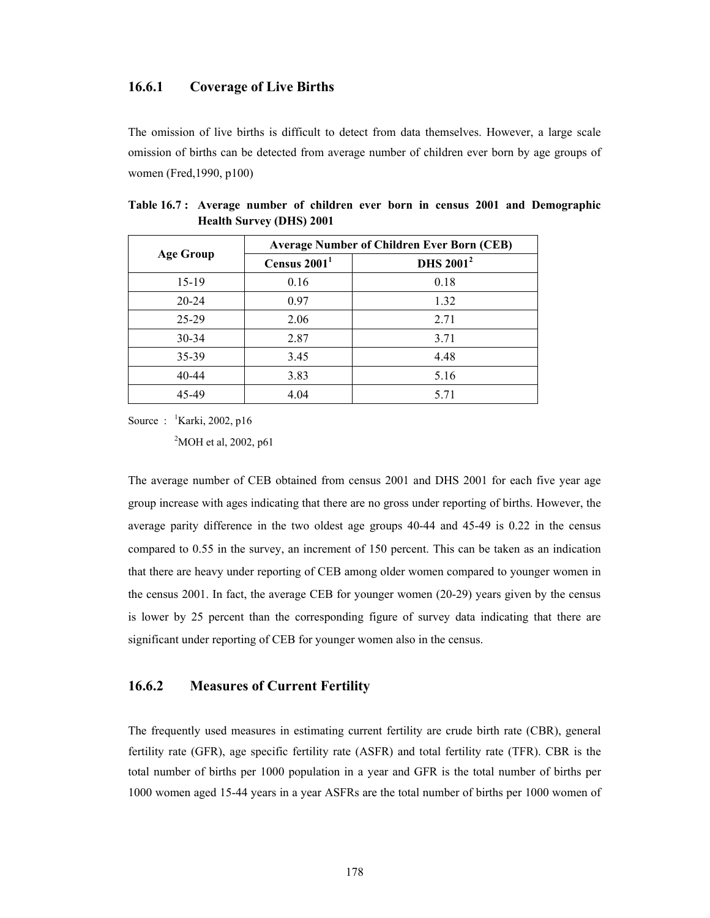#### **16.6.1 Coverage of Live Births**

The omission of live births is difficult to detect from data themselves. However, a large scale omission of births can be detected from average number of children ever born by age groups of women (Fred,1990, p100)

|                  | <b>Average Number of Children Ever Born (CEB)</b> |                             |  |  |  |  |
|------------------|---------------------------------------------------|-----------------------------|--|--|--|--|
| <b>Age Group</b> | Census $20011$                                    | <b>DHS 2001<sup>2</sup></b> |  |  |  |  |
| $15-19$          | 0.16                                              | 0.18                        |  |  |  |  |
| $20 - 24$        | 0.97                                              | 1.32                        |  |  |  |  |
| $25-29$          | 2.06                                              | 2.71                        |  |  |  |  |
| $30 - 34$        | 2.87                                              | 3.71                        |  |  |  |  |
| 35-39            | 3.45                                              | 4.48                        |  |  |  |  |
| 40-44            | 3.83                                              | 5.16                        |  |  |  |  |
| 45-49            | 4.04                                              | 5.71                        |  |  |  |  |

|                                 |  |  |  |  | Table 16.7: Average number of children ever born in census 2001 and Demographic |
|---------------------------------|--|--|--|--|---------------------------------------------------------------------------------|
| <b>Health Survey (DHS) 2001</b> |  |  |  |  |                                                                                 |

Source: <sup>1</sup>Karki, 2002, p16

 $^{2}$ MOH et al, 2002, p61

The average number of CEB obtained from census 2001 and DHS 2001 for each five year age group increase with ages indicating that there are no gross under reporting of births. However, the average parity difference in the two oldest age groups 40-44 and 45-49 is 0.22 in the census compared to 0.55 in the survey, an increment of 150 percent. This can be taken as an indication that there are heavy under reporting of CEB among older women compared to younger women in the census 2001. In fact, the average CEB for younger women (20-29) years given by the census is lower by 25 percent than the corresponding figure of survey data indicating that there are significant under reporting of CEB for younger women also in the census.

### **16.6.2 Measures of Current Fertility**

The frequently used measures in estimating current fertility are crude birth rate (CBR), general fertility rate (GFR), age specific fertility rate (ASFR) and total fertility rate (TFR). CBR is the total number of births per 1000 population in a year and GFR is the total number of births per 1000 women aged 15-44 years in a year ASFRs are the total number of births per 1000 women of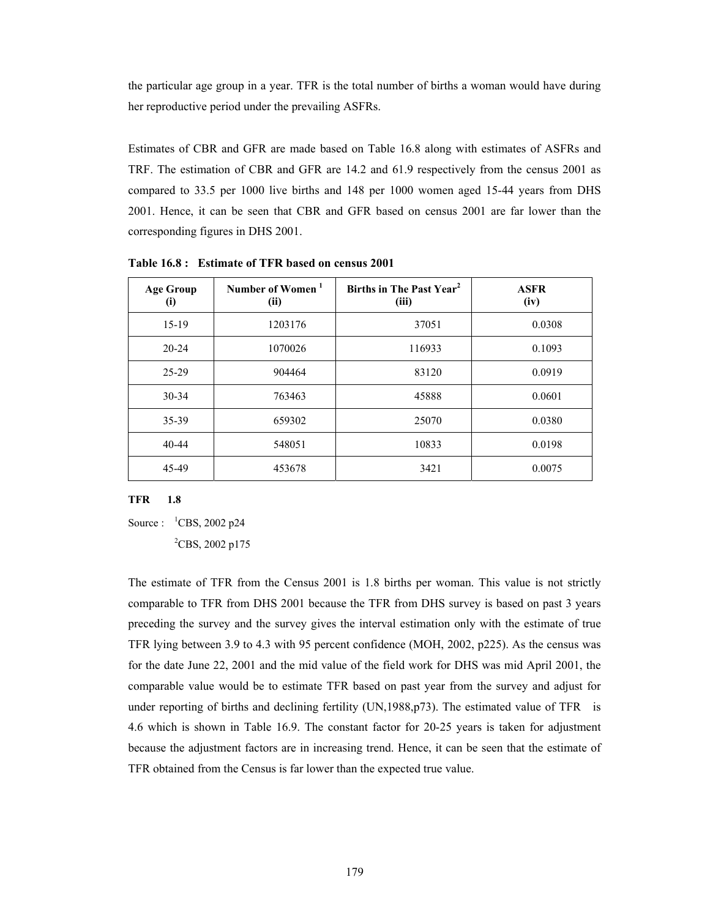the particular age group in a year. TFR is the total number of births a woman would have during her reproductive period under the prevailing ASFRs.

Estimates of CBR and GFR are made based on Table 16.8 along with estimates of ASFRs and TRF. The estimation of CBR and GFR are 14.2 and 61.9 respectively from the census 2001 as compared to 33.5 per 1000 live births and 148 per 1000 women aged 15-44 years from DHS 2001. Hence, it can be seen that CBR and GFR based on census 2001 are far lower than the corresponding figures in DHS 2001.

| <b>Age Group</b><br>(i) | Number of Women <sup>1</sup><br>(ii) | Births in The Past Year <sup>2</sup><br>(iii) | <b>ASFR</b><br>(iv) |
|-------------------------|--------------------------------------|-----------------------------------------------|---------------------|
| $15-19$                 | 1203176                              | 37051                                         | 0.0308              |
| $20 - 24$               | 1070026                              | 116933                                        | 0.1093              |
| 25-29                   | 904464                               | 83120                                         | 0.0919              |
| $30 - 34$               | 763463                               | 45888                                         | 0.0601              |
| 35-39                   | 659302                               | 25070                                         | 0.0380              |
| $40 - 44$               | 548051                               | 10833                                         | 0.0198              |
| 45-49                   | 453678                               | 3421                                          | 0.0075              |

**Table 16.8 : Estimate of TFR based on census 2001** 

#### **TFR 1.8**

Source :  ${}^{1}$ CBS, 2002 p24

 ${}^{2}$ CBS, 2002 p175

The estimate of TFR from the Census 2001 is 1.8 births per woman. This value is not strictly comparable to TFR from DHS 2001 because the TFR from DHS survey is based on past 3 years preceding the survey and the survey gives the interval estimation only with the estimate of true TFR lying between 3.9 to 4.3 with 95 percent confidence (MOH, 2002, p225). As the census was for the date June 22, 2001 and the mid value of the field work for DHS was mid April 2001, the comparable value would be to estimate TFR based on past year from the survey and adjust for under reporting of births and declining fertility (UN,1988,p73). The estimated value of TFR is 4.6 which is shown in Table 16.9. The constant factor for 20-25 years is taken for adjustment because the adjustment factors are in increasing trend. Hence, it can be seen that the estimate of TFR obtained from the Census is far lower than the expected true value.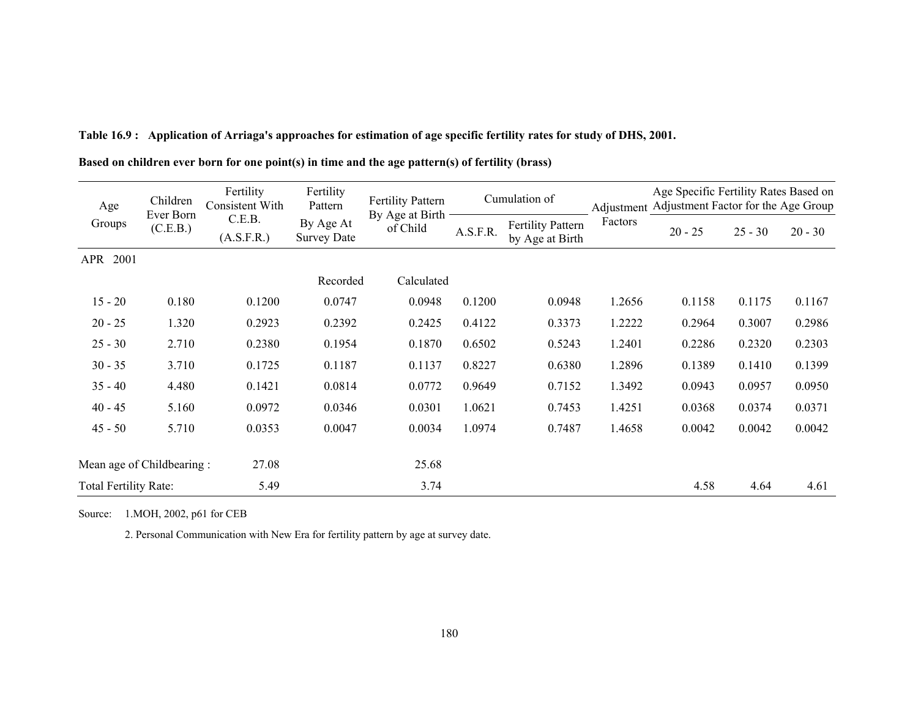| Children<br>Age<br>Ever Born |          | Fertility<br><b>Consistent With</b> | Fertility<br>Pattern            | <b>Fertility Pattern</b><br>By Age at Birth | Cumulation of |                                             | Adjustment | Age Specific Fertility Rates Based on<br>Adjustment Factor for the Age Group |           |           |  |
|------------------------------|----------|-------------------------------------|---------------------------------|---------------------------------------------|---------------|---------------------------------------------|------------|------------------------------------------------------------------------------|-----------|-----------|--|
| Groups                       | (C.E.B.) | C.E.B.<br>(A.S.F.R.)                | By Age At<br><b>Survey Date</b> | of Child                                    | A.S.F.R.      | <b>Fertility Pattern</b><br>by Age at Birth | Factors    | $20 - 25$                                                                    | $25 - 30$ | $20 - 30$ |  |
| 2001<br><b>APR</b>           |          |                                     |                                 |                                             |               |                                             |            |                                                                              |           |           |  |
|                              |          |                                     | Recorded                        | Calculated                                  |               |                                             |            |                                                                              |           |           |  |
| $15 - 20$                    | 0.180    | 0.1200                              | 0.0747                          | 0.0948                                      | 0.1200        | 0.0948                                      | 1.2656     | 0.1158                                                                       | 0.1175    | 0.1167    |  |
| $20 - 25$                    | 1.320    | 0.2923                              | 0.2392                          | 0.2425                                      | 0.4122        | 0.3373                                      | 1.2222     | 0.2964                                                                       | 0.3007    | 0.2986    |  |
| $25 - 30$                    | 2.710    | 0.2380                              | 0.1954                          | 0.1870                                      | 0.6502        | 0.5243                                      | 1.2401     | 0.2286                                                                       | 0.2320    | 0.2303    |  |
| $30 - 35$                    | 3.710    | 0.1725                              | 0.1187                          | 0.1137                                      | 0.8227        | 0.6380                                      | 1.2896     | 0.1389                                                                       | 0.1410    | 0.1399    |  |
| $35 - 40$                    | 4.480    | 0.1421                              | 0.0814                          | 0.0772                                      | 0.9649        | 0.7152                                      | 1.3492     | 0.0943                                                                       | 0.0957    | 0.0950    |  |
| $40 - 45$                    | 5.160    | 0.0972                              | 0.0346                          | 0.0301                                      | 1.0621        | 0.7453                                      | 1.4251     | 0.0368                                                                       | 0.0374    | 0.0371    |  |
| $45 - 50$                    | 5.710    | 0.0353                              | 0.0047                          | 0.0034                                      | 1.0974        | 0.7487                                      | 1.4658     | 0.0042                                                                       | 0.0042    | 0.0042    |  |
| Mean age of Childbearing:    |          | 27.08                               |                                 | 25.68                                       |               |                                             |            |                                                                              |           |           |  |
| Total Fertility Rate:        |          | 5.49                                |                                 | 3.74                                        |               |                                             |            | 4.58                                                                         | 4.64      | 4.61      |  |

**Table 16.9 : Application of Arriaga's approaches for estimation of age specific fertility rates for study of DHS, 2001.** 

**Based on children ever born for one point(s) in time and the age pattern(s) of fertility (brass)** 

Source: 1.MOH, 2002, p61 for CEB

2. Personal Communication with New Era for fertility pattern by age at survey date.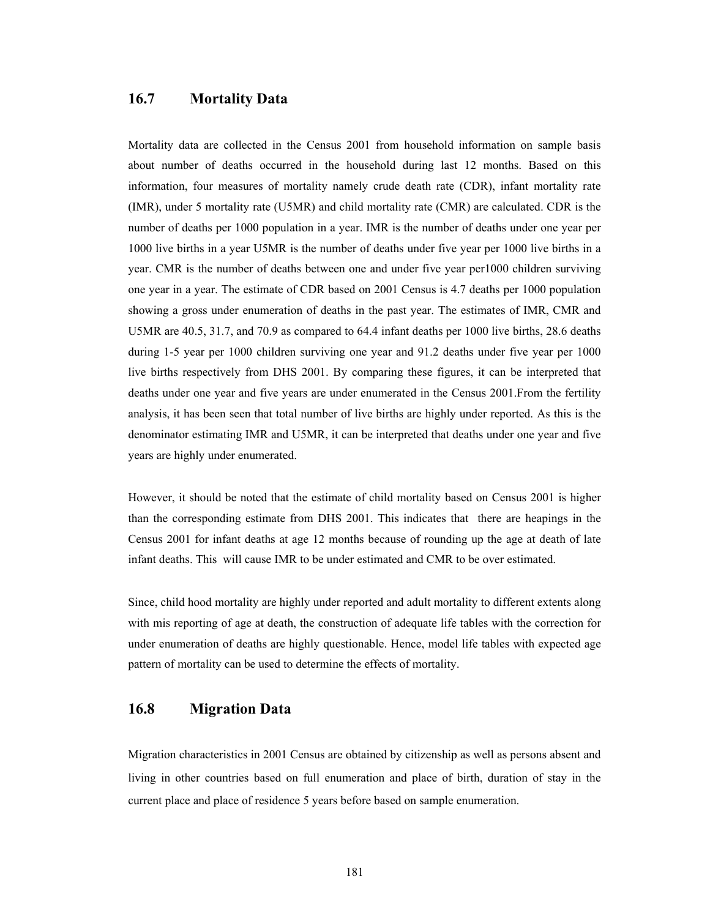# **16.7 Mortality Data**

Mortality data are collected in the Census 2001 from household information on sample basis about number of deaths occurred in the household during last 12 months. Based on this information, four measures of mortality namely crude death rate (CDR), infant mortality rate (IMR), under 5 mortality rate (U5MR) and child mortality rate (CMR) are calculated. CDR is the number of deaths per 1000 population in a year. IMR is the number of deaths under one year per 1000 live births in a year U5MR is the number of deaths under five year per 1000 live births in a year. CMR is the number of deaths between one and under five year per1000 children surviving one year in a year. The estimate of CDR based on 2001 Census is 4.7 deaths per 1000 population showing a gross under enumeration of deaths in the past year. The estimates of IMR, CMR and U5MR are 40.5, 31.7, and 70.9 as compared to 64.4 infant deaths per 1000 live births, 28.6 deaths during 1-5 year per 1000 children surviving one year and 91.2 deaths under five year per 1000 live births respectively from DHS 2001. By comparing these figures, it can be interpreted that deaths under one year and five years are under enumerated in the Census 2001.From the fertility analysis, it has been seen that total number of live births are highly under reported. As this is the denominator estimating IMR and U5MR, it can be interpreted that deaths under one year and five years are highly under enumerated.

However, it should be noted that the estimate of child mortality based on Census 2001 is higher than the corresponding estimate from DHS 2001. This indicates that there are heapings in the Census 2001 for infant deaths at age 12 months because of rounding up the age at death of late infant deaths. This will cause IMR to be under estimated and CMR to be over estimated.

Since, child hood mortality are highly under reported and adult mortality to different extents along with mis reporting of age at death, the construction of adequate life tables with the correction for under enumeration of deaths are highly questionable. Hence, model life tables with expected age pattern of mortality can be used to determine the effects of mortality.

## **16.8 Migration Data**

Migration characteristics in 2001 Census are obtained by citizenship as well as persons absent and living in other countries based on full enumeration and place of birth, duration of stay in the current place and place of residence 5 years before based on sample enumeration.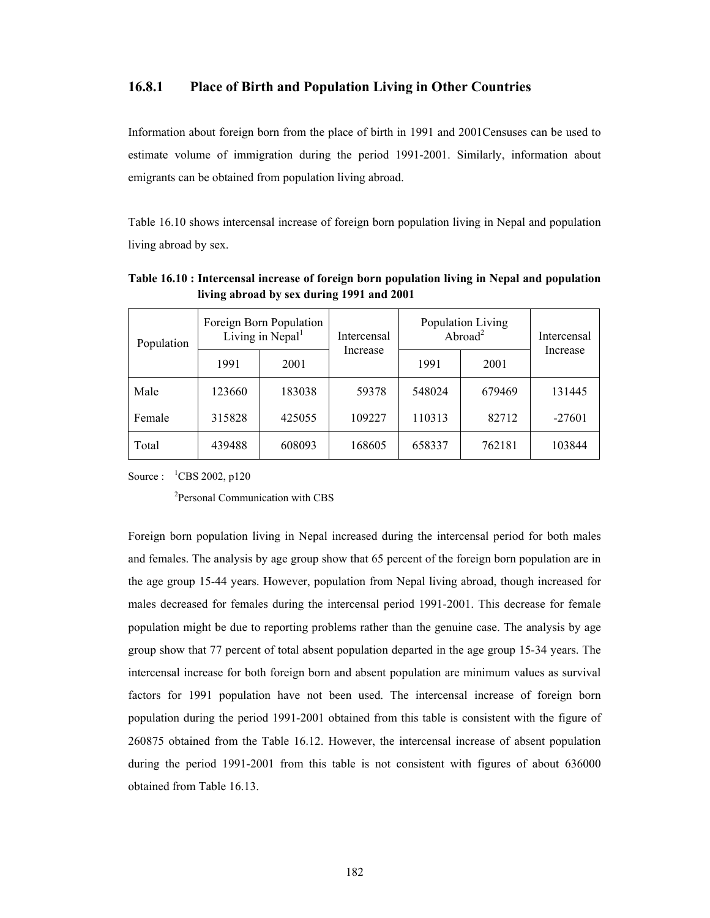#### **16.8.1 Place of Birth and Population Living in Other Countries**

Information about foreign born from the place of birth in 1991 and 2001Censuses can be used to estimate volume of immigration during the period 1991-2001. Similarly, information about emigrants can be obtained from population living abroad.

Table 16.10 shows intercensal increase of foreign born population living in Nepal and population living abroad by sex.

| Population |        | Foreign Born Population<br>Living in Nepal <sup>1</sup> | Intercensal<br>Increase | Population Living<br>Abroad <sup>2</sup> | Intercensal |          |
|------------|--------|---------------------------------------------------------|-------------------------|------------------------------------------|-------------|----------|
|            | 1991   | 2001                                                    |                         | 1991                                     | 2001        | Increase |
| Male       | 123660 | 183038                                                  | 59378                   | 548024                                   | 679469      | 131445   |
| Female     | 315828 | 425055                                                  | 109227                  | 110313                                   | 82712       | $-27601$ |
| Total      | 439488 | 608093                                                  | 168605                  | 658337                                   | 762181      | 103844   |

**Table 16.10 : Intercensal increase of foreign born population living in Nepal and population living abroad by sex during 1991 and 2001** 

Source : <sup>1</sup>CBS 2002, p120

2Personal Communication with CBS

Foreign born population living in Nepal increased during the intercensal period for both males and females. The analysis by age group show that 65 percent of the foreign born population are in the age group 15-44 years. However, population from Nepal living abroad, though increased for males decreased for females during the intercensal period 1991-2001. This decrease for female population might be due to reporting problems rather than the genuine case. The analysis by age group show that 77 percent of total absent population departed in the age group 15-34 years. The intercensal increase for both foreign born and absent population are minimum values as survival factors for 1991 population have not been used. The intercensal increase of foreign born population during the period 1991-2001 obtained from this table is consistent with the figure of 260875 obtained from the Table 16.12. However, the intercensal increase of absent population during the period 1991-2001 from this table is not consistent with figures of about 636000 obtained from Table 16.13.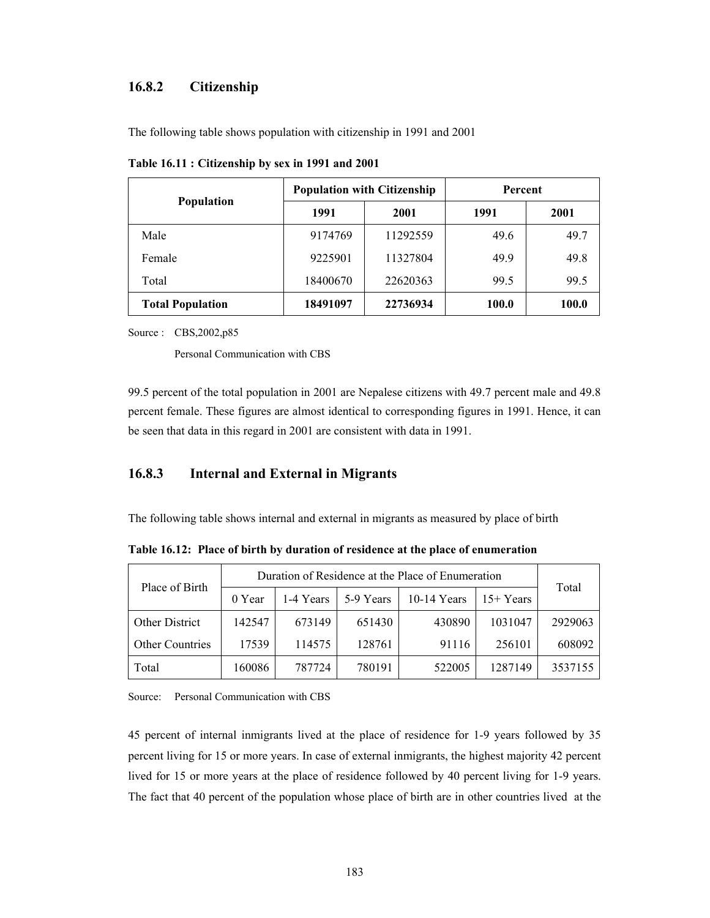### **16.8.2 Citizenship**

The following table shows population with citizenship in 1991 and 2001

|                         |          | <b>Population with Citizenship</b> | Percent |       |
|-------------------------|----------|------------------------------------|---------|-------|
| <b>Population</b>       | 1991     | 2001                               | 1991    | 2001  |
| Male                    | 9174769  | 11292559                           | 49.6    | 49.7  |
| Female                  | 9225901  | 11327804                           | 49.9    | 49.8  |
| Total                   | 18400670 | 22620363                           | 99.5    | 99.5  |
| <b>Total Population</b> | 18491097 | 22736934                           | 100.0   | 100.0 |

**Table 16.11 : Citizenship by sex in 1991 and 2001** 

Source : CBS,2002,p85

Personal Communication with CBS

99.5 percent of the total population in 2001 are Nepalese citizens with 49.7 percent male and 49.8 percent female. These figures are almost identical to corresponding figures in 1991. Hence, it can be seen that data in this regard in 2001 are consistent with data in 1991.

## **16.8.3 Internal and External in Migrants**

The following table shows internal and external in migrants as measured by place of birth

**Table 16.12: Place of birth by duration of residence at the place of enumeration** 

| Place of Birth  | Duration of Residence at the Place of Enumeration |           |           |               |            | Total   |
|-----------------|---------------------------------------------------|-----------|-----------|---------------|------------|---------|
|                 | 0 Year                                            | 1-4 Years | 5-9 Years | $10-14$ Years | $15+Years$ |         |
| Other District  | 142547                                            | 673149    | 651430    | 430890        | 1031047    | 2929063 |
| Other Countries | 17539                                             | 114575    | 128761    | 91116         | 256101     | 608092  |
| Total           | 160086                                            | 787724    | 780191    | 522005        | 1287149    | 3537155 |

Source: Personal Communication with CBS

45 percent of internal inmigrants lived at the place of residence for 1-9 years followed by 35 percent living for 15 or more years. In case of external inmigrants, the highest majority 42 percent lived for 15 or more years at the place of residence followed by 40 percent living for 1-9 years. The fact that 40 percent of the population whose place of birth are in other countries lived at the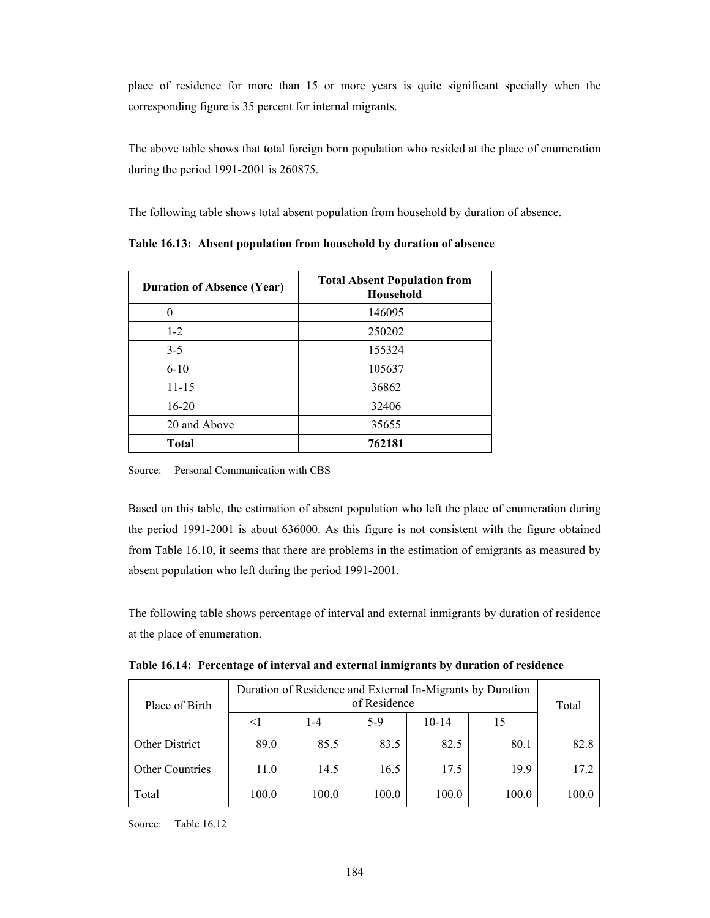place of residence for more than 15 or more years is quite significant specially when the corresponding figure is 35 percent for internal migrants.

The above table shows that total foreign born population who resided at the place of enumeration during the period 1991-2001 is 260875.

The following table shows total absent population from household by duration of absence.

| <b>Duration of Absence (Year)</b> | <b>Total Absent Population from</b><br>Household |  |  |
|-----------------------------------|--------------------------------------------------|--|--|
|                                   | 146095                                           |  |  |
| $1 - 2$                           | 250202                                           |  |  |
| $3 - 5$                           | 155324                                           |  |  |
| $6 - 10$                          | 105637                                           |  |  |
| $11 - 15$                         | 36862                                            |  |  |
| $16 - 20$                         | 32406                                            |  |  |
| 20 and Above                      | 35655                                            |  |  |
| <b>Total</b>                      | 762181                                           |  |  |

**Table 16.13: Absent population from household by duration of absence** 

Source: Personal Communication with CBS

Based on this table, the estimation of absent population who left the place of enumeration during the period 1991-2001 is about 636000. As this figure is not consistent with the figure obtained from Table 16.10, it seems that there are problems in the estimation of emigrants as measured by absent population who left during the period 1991-2001.

The following table shows percentage of interval and external inmigrants by duration of residence at the place of enumeration.

| Place of Birth         | Duration of Residence and External In-Migrants by Duration<br>of Residence |         |       |           |       | Total |
|------------------------|----------------------------------------------------------------------------|---------|-------|-----------|-------|-------|
|                        | <1                                                                         | $1 - 4$ | $5-9$ | $10 - 14$ | $15+$ |       |
| Other District         | 89.0                                                                       | 85.5    | 83.5  | 82.5      | 80.1  | 82.8  |
| <b>Other Countries</b> | 11.0                                                                       | 14.5    | 16.5  | 17.5      | 19.9  | 17.2  |
| Total                  | 100.0                                                                      | 100.0   | 100.0 | 100.0     | 100.0 | 100.0 |

Source: Table 16.12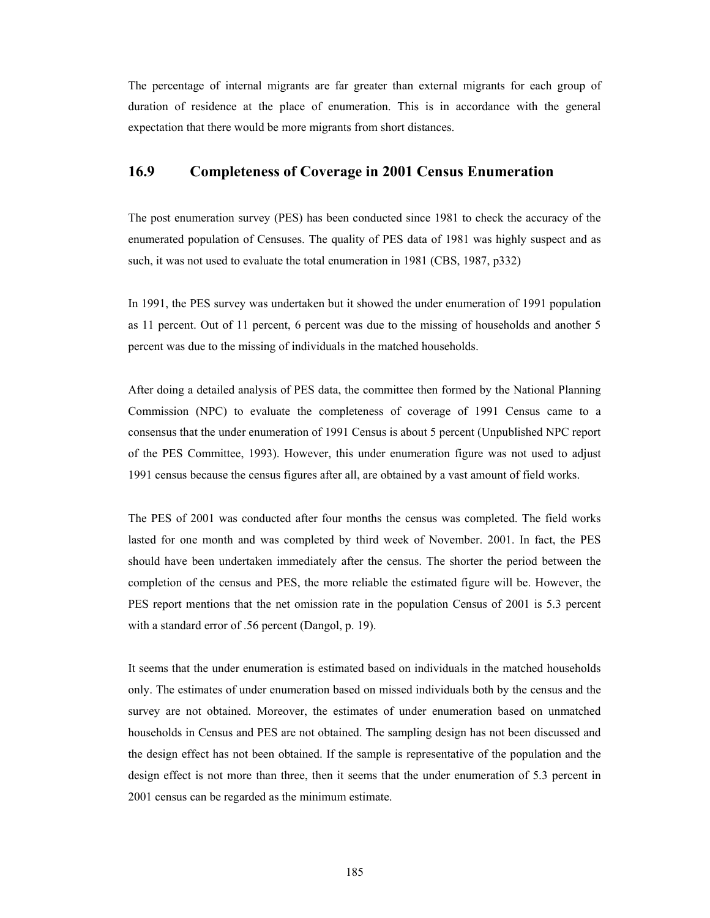The percentage of internal migrants are far greater than external migrants for each group of duration of residence at the place of enumeration. This is in accordance with the general expectation that there would be more migrants from short distances.

## **16.9 Completeness of Coverage in 2001 Census Enumeration**

The post enumeration survey (PES) has been conducted since 1981 to check the accuracy of the enumerated population of Censuses. The quality of PES data of 1981 was highly suspect and as such, it was not used to evaluate the total enumeration in 1981 (CBS, 1987, p332)

In 1991, the PES survey was undertaken but it showed the under enumeration of 1991 population as 11 percent. Out of 11 percent, 6 percent was due to the missing of households and another 5 percent was due to the missing of individuals in the matched households.

After doing a detailed analysis of PES data, the committee then formed by the National Planning Commission (NPC) to evaluate the completeness of coverage of 1991 Census came to a consensus that the under enumeration of 1991 Census is about 5 percent (Unpublished NPC report of the PES Committee, 1993). However, this under enumeration figure was not used to adjust 1991 census because the census figures after all, are obtained by a vast amount of field works.

The PES of 2001 was conducted after four months the census was completed. The field works lasted for one month and was completed by third week of November. 2001. In fact, the PES should have been undertaken immediately after the census. The shorter the period between the completion of the census and PES, the more reliable the estimated figure will be. However, the PES report mentions that the net omission rate in the population Census of 2001 is 5.3 percent with a standard error of .56 percent (Dangol, p. 19).

It seems that the under enumeration is estimated based on individuals in the matched households only. The estimates of under enumeration based on missed individuals both by the census and the survey are not obtained. Moreover, the estimates of under enumeration based on unmatched households in Census and PES are not obtained. The sampling design has not been discussed and the design effect has not been obtained. If the sample is representative of the population and the design effect is not more than three, then it seems that the under enumeration of 5.3 percent in 2001 census can be regarded as the minimum estimate.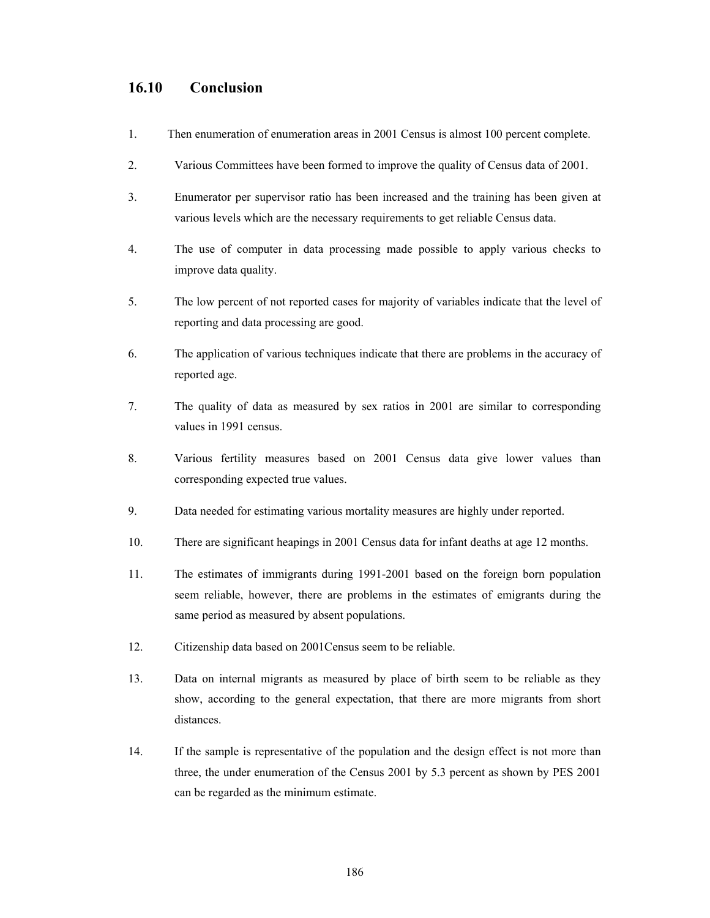## **16.10 Conclusion**

- 1. Then enumeration of enumeration areas in 2001 Census is almost 100 percent complete.
- 2. Various Committees have been formed to improve the quality of Census data of 2001.
- 3. Enumerator per supervisor ratio has been increased and the training has been given at various levels which are the necessary requirements to get reliable Census data.
- 4. The use of computer in data processing made possible to apply various checks to improve data quality.
- 5. The low percent of not reported cases for majority of variables indicate that the level of reporting and data processing are good.
- 6. The application of various techniques indicate that there are problems in the accuracy of reported age.
- 7. The quality of data as measured by sex ratios in 2001 are similar to corresponding values in 1991 census.
- 8. Various fertility measures based on 2001 Census data give lower values than corresponding expected true values.
- 9. Data needed for estimating various mortality measures are highly under reported.
- 10. There are significant heapings in 2001 Census data for infant deaths at age 12 months.
- 11. The estimates of immigrants during 1991-2001 based on the foreign born population seem reliable, however, there are problems in the estimates of emigrants during the same period as measured by absent populations.
- 12. Citizenship data based on 2001Census seem to be reliable.
- 13. Data on internal migrants as measured by place of birth seem to be reliable as they show, according to the general expectation, that there are more migrants from short distances.
- 14. If the sample is representative of the population and the design effect is not more than three, the under enumeration of the Census 2001 by 5.3 percent as shown by PES 2001 can be regarded as the minimum estimate.